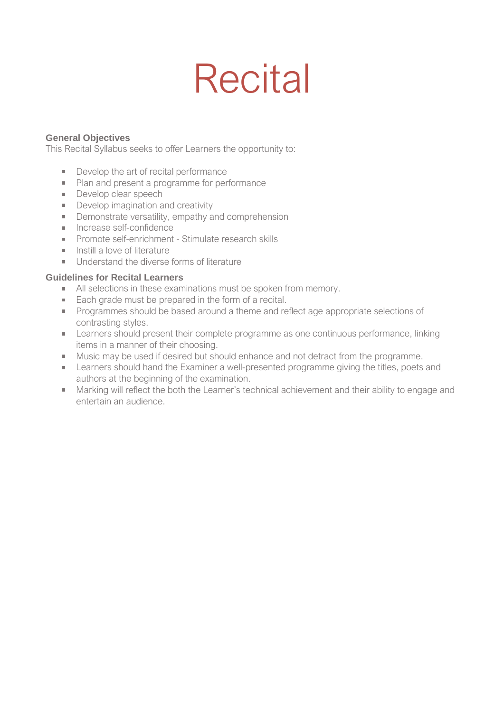# **Recital**

#### **General Objectives**

This Recital Syllabus seeks to offer Learners the opportunity to:

- Develop the art of recital performance
- **Plan and present a programme for performance**
- Develop clear speech
- Develop imagination and creativity
- **Demonstrate versatility, empathy and comprehension**
- **Increase self-confidence**
- **Promote self-enrichment Stimulate research skills**
- $\blacksquare$  Instill a love of literature
- Understand the diverse forms of literature

#### **Guidelines for Recital Learners**

- All selections in these examinations must be spoken from memory.
- Each grade must be prepared in the form of a recital.
- **Programmes should be based around a theme and reflect age appropriate selections of** contrasting styles.
- **EXECTED EXECTED EXECTED FOR THE EXECTED FIGGIOR** Learners should present their complete programme as one continuous performance, linking items in a manner of their choosing.
- Music may be used if desired but should enhance and not detract from the programme.
- **EXAM** Learners should hand the Examiner a well-presented programme giving the titles, poets and authors at the beginning of the examination.
- Marking will reflect the both the Learner's technical achievement and their ability to engage and entertain an audience.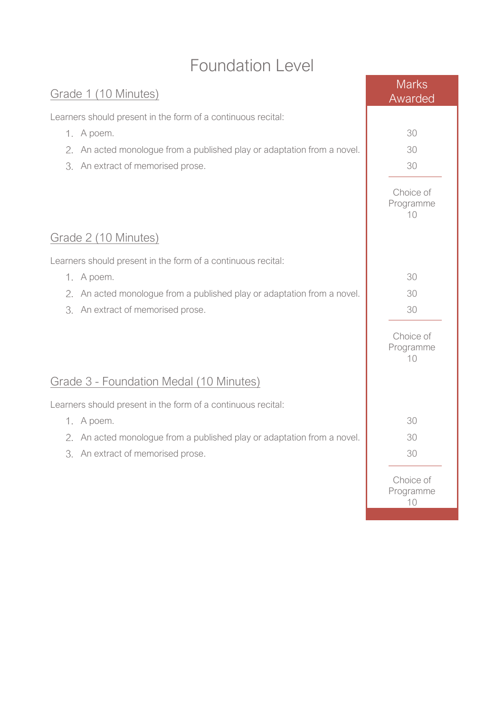## Foundation Level

| Grade 1 (10 Minutes)                                                    | <b>Marks</b><br>Awarded      |
|-------------------------------------------------------------------------|------------------------------|
| Learners should present in the form of a continuous recital:            |                              |
| 1. A poem.                                                              | 30                           |
| 2. An acted monologue from a published play or adaptation from a novel. | 30                           |
| 3. An extract of memorised prose.                                       | 30                           |
|                                                                         | Choice of<br>Programme<br>10 |
| <u>Grade 2 (10 Minutes)</u>                                             |                              |
| Learners should present in the form of a continuous recital:            |                              |
| 1. A poem.                                                              | 30                           |
| 2. An acted monologue from a published play or adaptation from a novel. | 30                           |
| 3. An extract of memorised prose.                                       | 30                           |
|                                                                         | Choice of<br>Programme<br>10 |
| Grade 3 - Foundation Medal (10 Minutes)                                 |                              |
| Learners should present in the form of a continuous recital:            |                              |
| 1. A poem.                                                              | 30                           |
| 2. An acted monologue from a published play or adaptation from a novel. | 30                           |
| 3. An extract of memorised prose.                                       | 30                           |
|                                                                         | Choice of<br>Programme<br>10 |
|                                                                         |                              |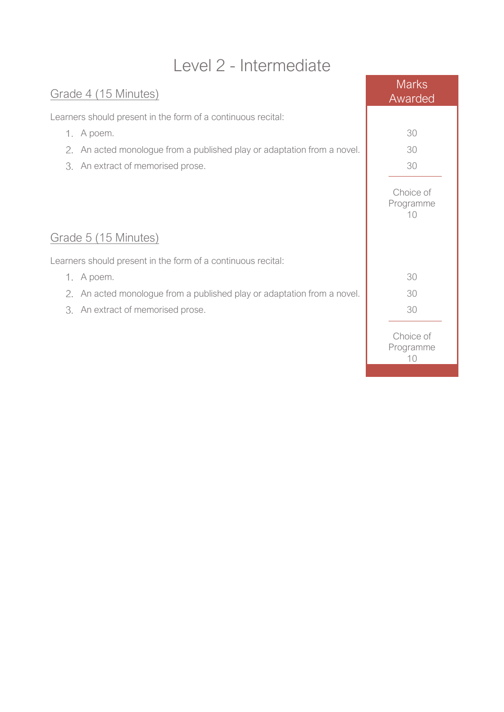## Level 2 - Intermediate

## Grade 4 (15 Minutes)

Learners should present in the form of a continuous recital:

- 1. A poem.
- 2. An acted monologue from a published play or adaptation from a nove
- 3. An extract of memorised prose.

## Grade 5 (15 Minutes)

Learners should present in the form of a continuous recital:

- 1. A poem.
- 2. An acted monologue from a published play or adaptation from a nove
- 3. An extract of memorised prose.

|               | <b>Marks</b><br>Awarded      |
|---------------|------------------------------|
| $\mathcal{L}$ | 30<br>30<br>30               |
|               | Choice of<br>Programme<br>10 |
| $\mathcal{L}$ | 30<br>30<br>30               |
|               | Choice of<br>Programme<br>10 |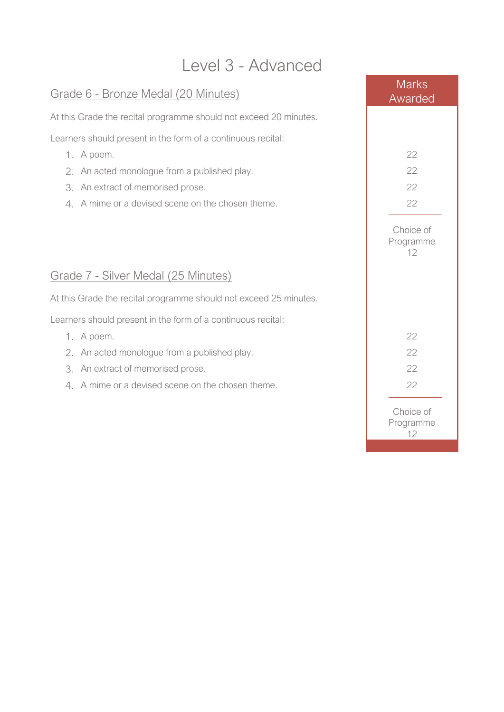## Level 3 - Advanced

## Grade 6 - Bronze Medal (20 Minutes)

At this Grade the recital programme should not exceed 20 minutes.

Learners should present in the form of a continuous recital:

- 
- 2. An acted monologue from a published play.
- 3. An extract of memorised prose.
- 4. A mime or a devised scene on the chosen theme.

## Grade 7 - Silver Medal (25 Minutes)

At this Grade the recital programme should not exceed 25 minutes.

Learners should present in the form of a continuous recital:

- 
- 2. An acted monologue from a published play.
- 3. An extract of memorised prose.
- 4. A mime or a devised scene on the chosen theme.

| LCVCI U - MUVALIUCU                                       |                              |
|-----------------------------------------------------------|------------------------------|
| <u>8 6 - Bronze Medal (20 Minutes)</u>                    | <b>Marks</b><br>Awarded      |
| Grade the recital programme should not exceed 20 minutes. |                              |
| s should present in the form of a continuous recital:     |                              |
| A poem.                                                   | 22                           |
| An acted monologue from a published play.                 | 22                           |
| An extract of memorised prose.                            | 22                           |
| A mime or a devised scene on the chosen theme.            | 22                           |
|                                                           | Choice of<br>Programme<br>12 |
| 25 Minutes) 7 - Silver Medal (25 Minutes)                 |                              |
| Grade the recital programme should not exceed 25 minutes. |                              |
| is should present in the form of a continuous recital:    |                              |
| A poem.                                                   | 22                           |
| An acted monologue from a published play.                 | 22                           |
| An extract of memorised prose.                            | 22                           |
| A mime or a devised scene on the chosen theme.            | 22                           |
|                                                           | Choice of<br>Programme<br>12 |
|                                                           |                              |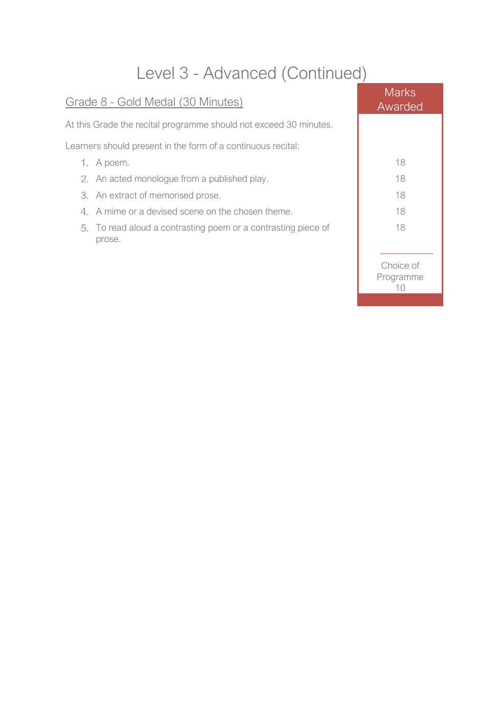## Level 3 - Advanced (Continued)

| Grade 8 - Gold Medal (30 Minutes)                                       | <b>Marks</b><br>Awarded      |
|-------------------------------------------------------------------------|------------------------------|
| At this Grade the recital programme should not exceed 30 minutes.       |                              |
| Learners should present in the form of a continuous recital:            |                              |
| 1. A poem.                                                              | 18                           |
| 2. An acted monologue from a published play.                            | 18                           |
| 3. An extract of memorised prose.                                       | 18                           |
| 4. A mime or a devised scene on the chosen theme.                       | 18                           |
| 5. To read aloud a contrasting poem or a contrasting piece of<br>prose. | 18                           |
|                                                                         | Choice of<br>Programme<br>10 |
|                                                                         |                              |